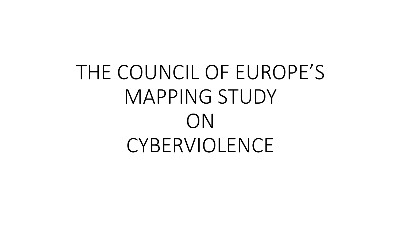# THE COUNCIL OF EUROPE'S MAPPING STUDY ON **CYBERVIOLENCE**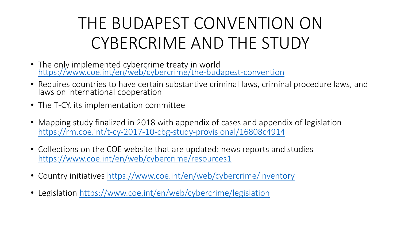# THE BUDAPEST CONVENTION ON CYBERCRIME AND THE STUDY

- The only implemented cybercrime treaty in world <https://www.coe.int/en/web/cybercrime/the-budapest-convention>
- Requires countries to have certain substantive criminal laws, criminal procedure laws, and laws on international cooperation
- The T-CY, its implementation committee
- Mapping study finalized in 2018 with appendix of cases and appendix of legislation <https://rm.coe.int/t-cy-2017-10-cbg-study-provisional/16808c4914>
- Collections on the COE website that are updated: news reports and studies <https://www.coe.int/en/web/cybercrime/resources1>
- Country initiatives <https://www.coe.int/en/web/cybercrime/inventory>
- Legislation <https://www.coe.int/en/web/cybercrime/legislation>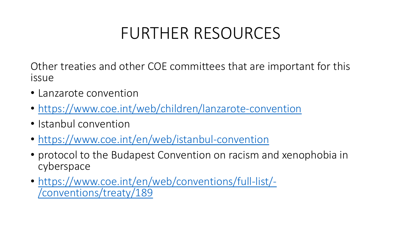## FURTHER RESOURCES

Other treaties and other COE committees that are important for this issue

- Lanzarote convention
- <https://www.coe.int/web/children/lanzarote-convention>
- Istanbul convention
- <https://www.coe.int/en/web/istanbul-convention>
- protocol to the Budapest Convention on racism and xenophobia in cyberspace
- [https://www.coe.int/en/web/conventions/full-list/-](https://www.coe.int/en/web/conventions/full-list/-/conventions/treaty/189) /conventions/treaty/189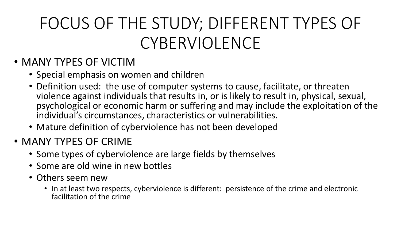# FOCUS OF THE STUDY; DIFFERENT TYPES OF CYBERVIOLENCE

#### • MANY TYPES OF VICTIM

- Special emphasis on women and children
- Definition used: the use of computer systems to cause, facilitate, or threaten violence against individuals that results in, or is likely to result in, physical, sexual, psychological or economic harm or suffering and may include the exploitation of the individual's circumstances, characteristics or vulnerabilities.
- Mature definition of cyberviolence has not been developed
- MANY TYPES OF CRIME
	- Some types of cyberviolence are large fields by themselves
	- Some are old wine in new bottles
	- Others seem new
		- In at least two respects, cyberviolence is different: persistence of the crime and electronic facilitation of the crime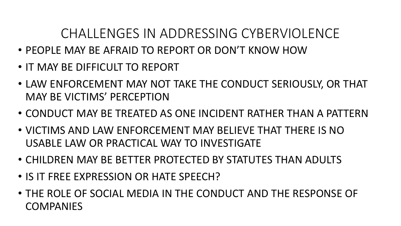#### CHALLENGES IN ADDRESSING CYBERVIOLENCE

- PEOPLE MAY BE AFRAID TO REPORT OR DON'T KNOW HOW
- IT MAY BE DIFFICULT TO REPORT
- LAW ENFORCEMENT MAY NOT TAKE THE CONDUCT SERIOUSLY, OR THAT MAY BE VICTIMS' PERCEPTION
- CONDUCT MAY BE TREATED AS ONE INCIDENT RATHER THAN A PATTERN
- VICTIMS AND LAW ENFORCEMENT MAY BELIEVE THAT THERE IS NO USABLE LAW OR PRACTICAL WAY TO INVESTIGATE
- CHILDREN MAY BE BETTER PROTECTED BY STATUTES THAN ADULTS
- IS IT FREE EXPRESSION OR HATE SPEECH?
- THE ROLE OF SOCIAL MEDIA IN THE CONDUCT AND THE RESPONSE OF **COMPANIES**